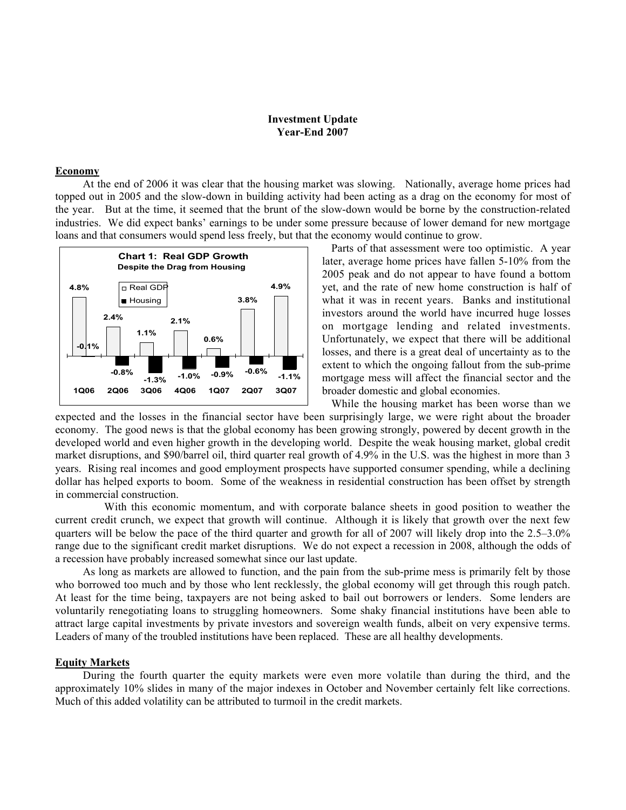## **Investment Update Year-End 2007**

## **Economy**

At the end of 2006 it was clear that the housing market was slowing. Nationally, average home prices had topped out in 2005 and the slow-down in building activity had been acting as a drag on the economy for most of the year. But at the time, it seemed that the brunt of the slow-down would be borne by the construction-related industries. We did expect banks' earnings to be under some pressure because of lower demand for new mortgage loans and that consumers would spend less freely, but that the economy would continue to grow.



Parts of that assessment were too optimistic. A year later, average home prices have fallen 5-10% from the 2005 peak and do not appear to have found a bottom yet, and the rate of new home construction is half of what it was in recent years. Banks and institutional investors around the world have incurred huge losses on mortgage lending and related investments. Unfortunately, we expect that there will be additional losses, and there is a great deal of uncertainty as to the extent to which the ongoing fallout from the sub-prime mortgage mess will affect the financial sector and the broader domestic and global economies.

While the housing market has been worse than we expected and the losses in the financial sector have been surprisingly large, we were right about the broader economy. The good news is that the global economy has been growing strongly, powered by decent growth in the developed world and even higher growth in the developing world. Despite the weak housing market, global credit market disruptions, and \$90/barrel oil, third quarter real growth of 4.9% in the U.S. was the highest in more than 3 years. Rising real incomes and good employment prospects have supported consumer spending, while a declining dollar has helped exports to boom. Some of the weakness in residential construction has been offset by strength in commercial construction.

 With this economic momentum, and with corporate balance sheets in good position to weather the current credit crunch, we expect that growth will continue. Although it is likely that growth over the next few quarters will be below the pace of the third quarter and growth for all of 2007 will likely drop into the 2.5–3.0% range due to the significant credit market disruptions. We do not expect a recession in 2008, although the odds of a recession have probably increased somewhat since our last update.

As long as markets are allowed to function, and the pain from the sub-prime mess is primarily felt by those who borrowed too much and by those who lent recklessly, the global economy will get through this rough patch. At least for the time being, taxpayers are not being asked to bail out borrowers or lenders. Some lenders are voluntarily renegotiating loans to struggling homeowners. Some shaky financial institutions have been able to attract large capital investments by private investors and sovereign wealth funds, albeit on very expensive terms. Leaders of many of the troubled institutions have been replaced. These are all healthy developments.

## **Equity Markets**

During the fourth quarter the equity markets were even more volatile than during the third, and the approximately 10% slides in many of the major indexes in October and November certainly felt like corrections. Much of this added volatility can be attributed to turmoil in the credit markets.